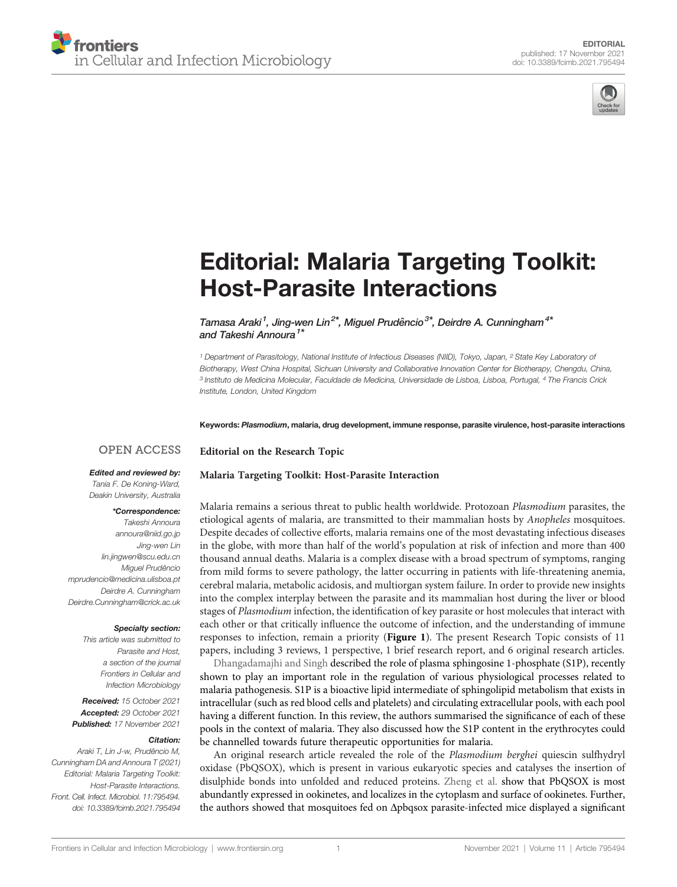



# [Editorial: Malaria Targeting Toolkit:](https://www.frontiersin.org/articles/10.3389/fcimb.2021.795494/full) [Host-Parasite Interactions](https://www.frontiersin.org/articles/10.3389/fcimb.2021.795494/full)

Tamasa Araki<sup>1</sup>, Jing-wen Lin<sup>2\*</sup>, Miguel Prudêncio<sup>3\*</sup>, Deirdre A. Cunningham<sup>4\*</sup> and Takeshi Annoura<sup>1\*</sup>

<sup>1</sup> Department of Parasitology, National Institute of Infectious Diseases (NIID), Tokyo, Japan, <sup>2</sup> State Key Laboratory of Biotherapy, West China Hospital, Sichuan University and Collaborative Innovation Center for Biotherapy, Chengdu, China, <sup>3</sup> Instituto de Medicina Molecular, Faculdade de Medicina, Universidade de Lisboa, Lisboa, Portugal, <sup>4</sup> The Francis Crick Institute, London, United Kingdom

Keywords: Plasmodium, malaria, drug development, immune response, parasite virulence, host-parasite interactions

### **OPEN ACCESS**

#### Edited and reviewed by:

Tania F. De Koning-Ward, Deakin University, Australia

#### \*Correspondence:

Takeshi Annoura [annoura@niid.go.jp](mailto:annoura@niid.go.jp) Jing-wen Lin [lin.jingwen@scu.edu.cn](mailto:lin.jingwen@scu.edu.cn) Miguel Prudêncio [mprudencio@medicina.ulisboa.pt](mailto:mprudencio@medicina.ulisboa.pt) Deirdre A. Cunningham [Deirdre.Cunningham@crick.ac.uk](mailto:Deirdre.Cunningham@crick.ac.uk)

#### Specialty section:

This article was submitted to Parasite and Host, a section of the journal Frontiers in Cellular and Infection Microbiology

Received: 15 October 2021 Accepted: 29 October 2021 Published: 17 November 2021

#### Citation:

Araki T, Lin J-w, Prudêncio M, Cunningham DA and Annoura T (2021) Editorial: Malaria Targeting Toolkit: Host-Parasite Interactions. Front. Cell. Infect. Microbiol. 11:795494. [doi: 10.3389/fcimb.2021.795494](https://doi.org/10.3389/fcimb.2021.795494)

[Malaria Targeting Toolkit: Host-Parasite Interaction](https://www.frontiersin.org/research-topics/13148/malaria-targeting-toolkit-host-parasite-interaction)

Editorial on the Research Topic

Malaria remains a serious threat to public health worldwide. Protozoan Plasmodium parasites, the etiological agents of malaria, are transmitted to their mammalian hosts by Anopheles mosquitoes. Despite decades of collective efforts, malaria remains one of the most devastating infectious diseases in the globe, with more than half of the world's population at risk of infection and more than 400 thousand annual deaths. Malaria is a complex disease with a broad spectrum of symptoms, ranging from mild forms to severe pathology, the latter occurring in patients with life-threatening anemia, cerebral malaria, metabolic acidosis, and multiorgan system failure. In order to provide new insights into the complex interplay between the parasite and its mammalian host during the liver or blood stages of Plasmodium infection, the identification of key parasite or host molecules that interact with each other or that critically influence the outcome of infection, and the understanding of immune responses to infection, remain a priority ([Figure 1](#page-1-0)). The present Research Topic consists of 11 papers, including 3 reviews, 1 perspective, 1 brief research report, and 6 original research articles.

[Dhangadamajhi and Singh](https://doi.org/10.3389/fcimb.2020.00353) described the role of plasma sphingosine 1-phosphate (S1P), recently shown to play an important role in the regulation of various physiological processes related to malaria pathogenesis. S1P is a bioactive lipid intermediate of sphingolipid metabolism that exists in intracellular (such as red blood cells and platelets) and circulating extracellular pools, with each pool having a different function. In this review, the authors summarised the significance of each of these pools in the context of malaria. They also discussed how the S1P content in the erythrocytes could be channelled towards future therapeutic opportunities for malaria.

An original research article revealed the role of the Plasmodium berghei quiescin sulfhydryl oxidase (PbQSOX), which is present in various eukaryotic species and catalyses the insertion of disulphide bonds into unfolded and reduced proteins. [Zheng et al.](https://doi.org/10.3389/fcimb.2020.00311) show that PbQSOX is most abundantly expressed in ookinetes, and localizes in the cytoplasm and surface of ookinetes. Further, the authors showed that mosquitoes fed on Apbqsox parasite-infected mice displayed a significant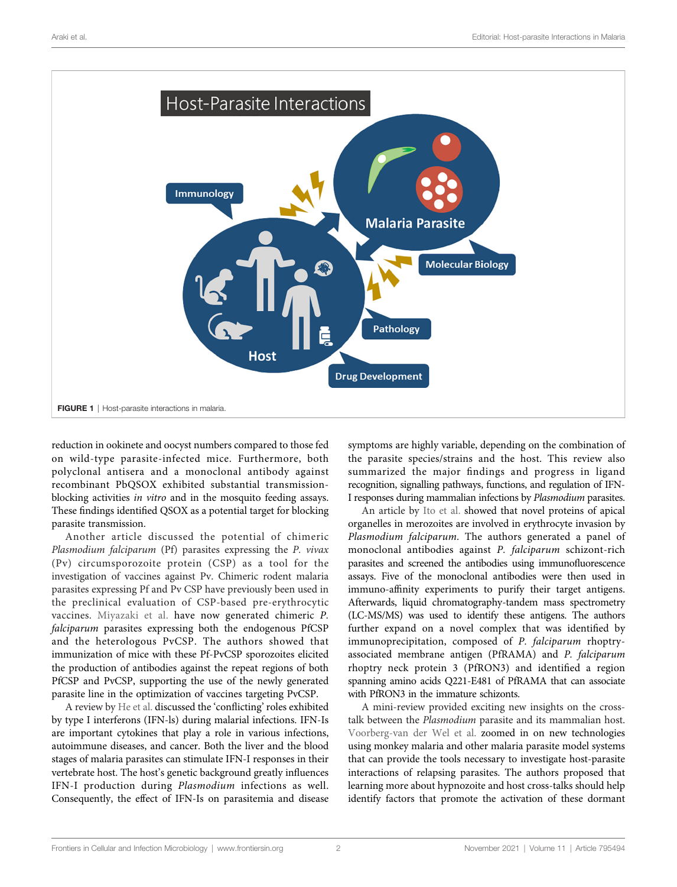<span id="page-1-0"></span>

reduction in ookinete and oocyst numbers compared to those fed on wild-type parasite-infected mice. Furthermore, both polyclonal antisera and a monoclonal antibody against recombinant PbQSOX exhibited substantial transmissionblocking activities in vitro and in the mosquito feeding assays. These findings identified QSOX as a potential target for blocking parasite transmission.

Another article discussed the potential of chimeric Plasmodium falciparum (Pf) parasites expressing the P. vivax (Pv) circumsporozoite protein (CSP) as a tool for the investigation of vaccines against Pv. Chimeric rodent malaria parasites expressing Pf and Pv CSP have previously been used in the preclinical evaluation of CSP-based pre-erythrocytic vaccines. [Miyazaki et al.](https://doi.org/10.3389/fcimb.2020.591046) have now generated chimeric P. falciparum parasites expressing both the endogenous PfCSP and the heterologous PvCSP. The authors showed that immunization of mice with these Pf-PvCSP sporozoites elicited the production of antibodies against the repeat regions of both PfCSP and PvCSP, supporting the use of the newly generated parasite line in the optimization of vaccines targeting PvCSP.

A review by [He et al.](https://doi.org/10.3389/fcimb.2020.594621) discussed the 'conflicting' roles exhibited by type I interferons (IFN-ls) during malarial infections. IFN-Is are important cytokines that play a role in various infections, autoimmune diseases, and cancer. Both the liver and the blood stages of malaria parasites can stimulate IFN-I responses in their vertebrate host. The host's genetic background greatly influences IFN-I production during Plasmodium infections as well. Consequently, the effect of IFN-Is on parasitemia and disease symptoms are highly variable, depending on the combination of the parasite species/strains and the host. This review also summarized the major findings and progress in ligand recognition, signalling pathways, functions, and regulation of IFN-I responses during mammalian infections by Plasmodium parasites.

An article by [Ito et al.](https://doi.org/10.3389/fcimb.2020.605367) showed that novel proteins of apical organelles in merozoites are involved in erythrocyte invasion by Plasmodium falciparum. The authors generated a panel of monoclonal antibodies against P. falciparum schizont-rich parasites and screened the antibodies using immunofluorescence assays. Five of the monoclonal antibodies were then used in immuno-affinity experiments to purify their target antigens. Afterwards, liquid chromatography-tandem mass spectrometry (LC-MS/MS) was used to identify these antigens. The authors further expand on a novel complex that was identified by immunoprecipitation, composed of P. falciparum rhoptryassociated membrane antigen (PfRAMA) and P. falciparum rhoptry neck protein 3 (PfRON3) and identified a region spanning amino acids Q221-E481 of PfRAMA that can associate with PfRON3 in the immature schizonts.

A mini-review provided exciting new insights on the crosstalk between the Plasmodium parasite and its mammalian host. [Voorberg-van der Wel et al.](https://doi.org/10.3389/fcimb.2020.606033) zoomed in on new technologies using monkey malaria and other malaria parasite model systems that can provide the tools necessary to investigate host-parasite interactions of relapsing parasites. The authors proposed that learning more about hypnozoite and host cross-talks should help identify factors that promote the activation of these dormant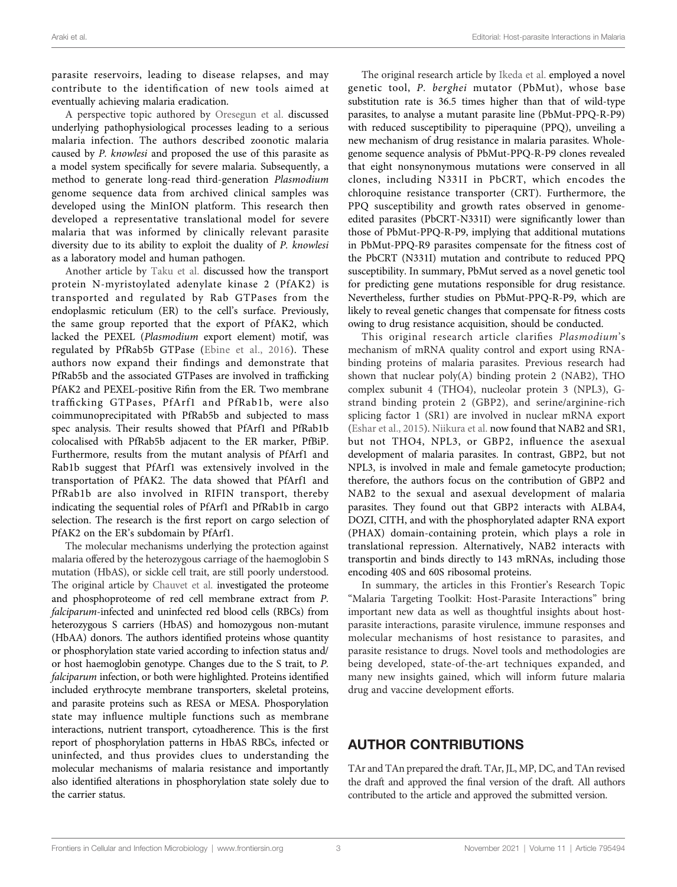parasite reservoirs, leading to disease relapses, and may contribute to the identification of new tools aimed at eventually achieving malaria eradication.

A perspective topic authored by [Oresegun et al.](https://doi.org/10.3389/fcimb.2021.607686) discussed underlying pathophysiological processes leading to a serious malaria infection. The authors described zoonotic malaria caused by P. knowlesi and proposed the use of this parasite as a model system specifically for severe malaria. Subsequently, a method to generate long-read third-generation Plasmodium genome sequence data from archived clinical samples was developed using the MinION platform. This research then developed a representative translational model for severe malaria that was informed by clinically relevant parasite diversity due to its ability to exploit the duality of P. knowlesi as a laboratory model and human pathogen.

Another article by [Taku et al.](https://doi.org/10.3389/fcimb.2020.610200) discussed how the transport protein N-myristoylated adenylate kinase 2 (PfAK2) is transported and regulated by Rab GTPases from the endoplasmic reticulum (ER) to the cell's surface. Previously, the same group reported that the export of PfAK2, which lacked the PEXEL (Plasmodium export element) motif, was regulated by PfRab5b GTPase ([Ebine et al., 2016](#page-3-0)). These authors now expand their findings and demonstrate that PfRab5b and the associated GTPases are involved in trafficking PfAK2 and PEXEL-positive Rifin from the ER. Two membrane trafficking GTPases, PfArf1 and PfRab1b, were also coimmunoprecipitated with PfRab5b and subjected to mass spec analysis. Their results showed that PfArf1 and PfRab1b colocalised with PfRab5b adjacent to the ER marker, PfBiP. Furthermore, results from the mutant analysis of PfArf1 and Rab1b suggest that PfArf1 was extensively involved in the transportation of PfAK2. The data showed that PfArf1 and PfRab1b are also involved in RIFIN transport, thereby indicating the sequential roles of PfArf1 and PfRab1b in cargo selection. The research is the first report on cargo selection of PfAK2 on the ER's subdomain by PfArf1.

The molecular mechanisms underlying the protection against malaria offered by the heterozygous carriage of the haemoglobin S mutation (HbAS), or sickle cell trait, are still poorly understood. The original article by [Chauvet et al.](https://doi.org/10.3389/fcimb.2021.637604) investigated the proteome and phosphoproteome of red cell membrane extract from P. falciparum-infected and uninfected red blood cells (RBCs) from heterozygous S carriers (HbAS) and homozygous non-mutant (HbAA) donors. The authors identified proteins whose quantity or phosphorylation state varied according to infection status and/ or host haemoglobin genotype. Changes due to the S trait, to P. falciparum infection, or both were highlighted. Proteins identified included erythrocyte membrane transporters, skeletal proteins, and parasite proteins such as RESA or MESA. Phosporylation state may influence multiple functions such as membrane interactions, nutrient transport, cytoadherence. This is the first report of phosphorylation patterns in HbAS RBCs, infected or uninfected, and thus provides clues to understanding the molecular mechanisms of malaria resistance and importantly also identified alterations in phosphorylation state solely due to the carrier status.

The original research article by [Ikeda et al.](https://doi.org/10.3389/fcimb.2021.672691) employed a novel genetic tool, P. berghei mutator (PbMut), whose base substitution rate is 36.5 times higher than that of wild-type parasites, to analyse a mutant parasite line (PbMut-PPQ-R-P9) with reduced susceptibility to piperaquine (PPQ), unveiling a new mechanism of drug resistance in malaria parasites. Wholegenome sequence analysis of PbMut-PPQ-R-P9 clones revealed that eight nonsynonymous mutations were conserved in all clones, including N331I in PbCRT, which encodes the chloroquine resistance transporter (CRT). Furthermore, the PPQ susceptibility and growth rates observed in genomeedited parasites (PbCRT-N331I) were significantly lower than those of PbMut-PPQ-R-P9, implying that additional mutations in PbMut-PPQ-R9 parasites compensate for the fitness cost of the PbCRT (N331I) mutation and contribute to reduced PPQ susceptibility. In summary, PbMut served as a novel genetic tool for predicting gene mutations responsible for drug resistance. Nevertheless, further studies on PbMut-PPQ-R-P9, which are likely to reveal genetic changes that compensate for fitness costs owing to drug resistance acquisition, should be conducted.

This original research article clarifies Plasmodium's mechanism of mRNA quality control and export using RNAbinding proteins of malaria parasites. Previous research had shown that nuclear poly(A) binding protein 2 (NAB2), THO complex subunit 4 (THO4), nucleolar protein 3 (NPL3), Gstrand binding protein 2 (GBP2), and serine/arginine-rich splicing factor 1 (SR1) are involved in nuclear mRNA export [\(Eshar et al., 2015\)](#page-3-0). [Niikura et al.](https://doi.org/10.3389/fcimb.2021.737457) now found that NAB2 and SR1, but not THO4, NPL3, or GBP2, influence the asexual development of malaria parasites. In contrast, GBP2, but not NPL3, is involved in male and female gametocyte production; therefore, the authors focus on the contribution of GBP2 and NAB2 to the sexual and asexual development of malaria parasites. They found out that GBP2 interacts with ALBA4, DOZI, CITH, and with the phosphorylated adapter RNA export (PHAX) domain-containing protein, which plays a role in translational repression. Alternatively, NAB2 interacts with transportin and binds directly to 143 mRNAs, including those encoding 40S and 60S ribosomal proteins.

In summary, the articles in this Frontier's Research Topic "Malaria Targeting Toolkit: Host-Parasite Interactions" bring important new data as well as thoughtful insights about hostparasite interactions, parasite virulence, immune responses and molecular mechanisms of host resistance to parasites, and parasite resistance to drugs. Novel tools and methodologies are being developed, state-of-the-art techniques expanded, and many new insights gained, which will inform future malaria drug and vaccine development efforts.

## AUTHOR CONTRIBUTIONS

TAr and TAn prepared the draft. TAr, JL, MP, DC, and TAn revised the draft and approved the final version of the draft. All authors contributed to the article and approved the submitted version.